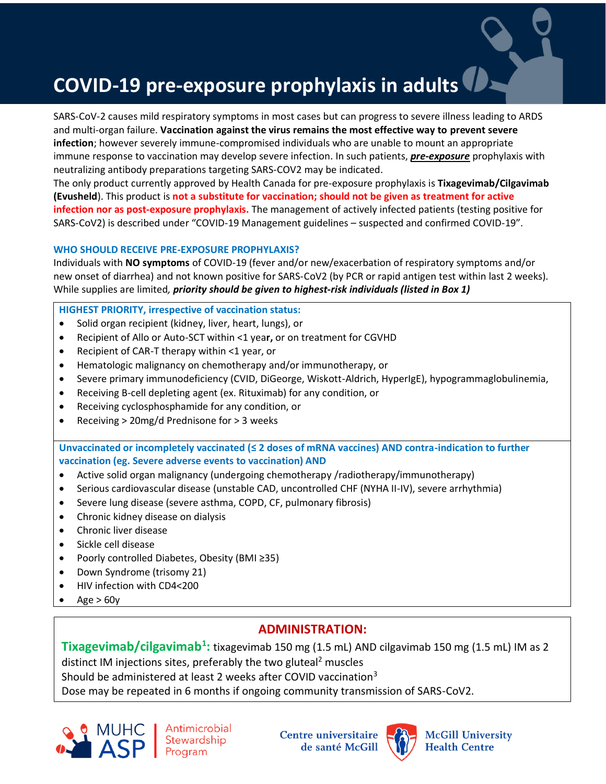# **COVID-19 pre-exposure prophylaxis in adults**

SARS-CoV-2 causes mild respiratory symptoms in most cases but can progress to severe illness leading to ARDS and multi-organ failure. **Vaccination against the virus remains the most effective way to prevent severe infection**; however severely immune-compromised individuals who are unable to mount an appropriate immune response to vaccination may develop severe infection. In such patients, *pre-exposure* prophylaxis with neutralizing antibody preparations targeting SARS-COV2 may be indicated.

The only product currently approved by Health Canada for pre-exposure prophylaxis is **Tixagevimab/Cilgavimab (Evusheld**). This product is **not a substitute for vaccination; should not be given as treatment for active infection nor as post-exposure prophylaxis.** The management of actively infected patients (testing positive for SARS-CoV2) is described under "COVID-19 Management guidelines – suspected and confirmed COVID-19".

#### **WHO SHOULD RECEIVE PRE-EXPOSURE PROPHYLAXIS?**

Individuals with **NO symptoms** of COVID-19 (fever and/or new/exacerbation of respiratory symptoms and/or new onset of diarrhea) and not known positive for SARS-CoV2 (by PCR or rapid antigen test within last 2 weeks). While supplies are limited*, priority should be given to highest-risk individuals (listed in Box 1)*

#### **HIGHEST PRIORITY, irrespective of vaccination status:**

- Solid organ recipient (kidney, liver, heart, lungs), or
- Recipient of Allo or Auto-SCT within <1 yea**r,** or on treatment for CGVHD
- Recipient of CAR-T therapy within <1 year, or
- Hematologic malignancy on chemotherapy and/or immunotherapy, or
- Severe primary immunodeficiency (CVID, DiGeorge, Wiskott-Aldrich, HyperIgE), hypogrammaglobulinemia,
- Receiving B-cell depleting agent (ex. Rituximab) for any condition, or
- Receiving cyclosphosphamide for any condition, or
- Receiving > 20mg/d Prednisone for > 3 weeks

**Unvaccinated or incompletely vaccinated (≤ 2 doses of mRNA vaccines) AND contra-indication to further vaccination (eg. Severe adverse events to vaccination) AND** 

- Active solid organ malignancy (undergoing chemotherapy /radiotherapy/immunotherapy)
- Serious cardiovascular disease (unstable CAD, uncontrolled CHF (NYHA II-IV), severe arrhythmia)
- Severe lung disease (severe asthma, COPD, CF, pulmonary fibrosis)
- Chronic kidney disease on dialysis
- Chronic liver disease
- Sickle cell disease
- Poorly controlled Diabetes, Obesity (BMI ≥35)
- Down Syndrome (trisomy 21)
- HIV infection with CD4<200
- Age  $> 60y$

## **ADMINISTRATION:**

**Tixagevimab/cilgavimab<sup>1</sup> :** tixagevimab 150 mg (1.5 mL) AND cilgavimab 150 mg (1.5 mL) IM as 2 distinct IM injections sites, preferably the two gluteal<sup>2</sup> muscles Should be administered at least 2 weeks after COVID vaccination<sup>3</sup>

Dose may be repeated in 6 months if ongoing community transmission of SARS-CoV2.



**Centre universitaire** de santé McGill